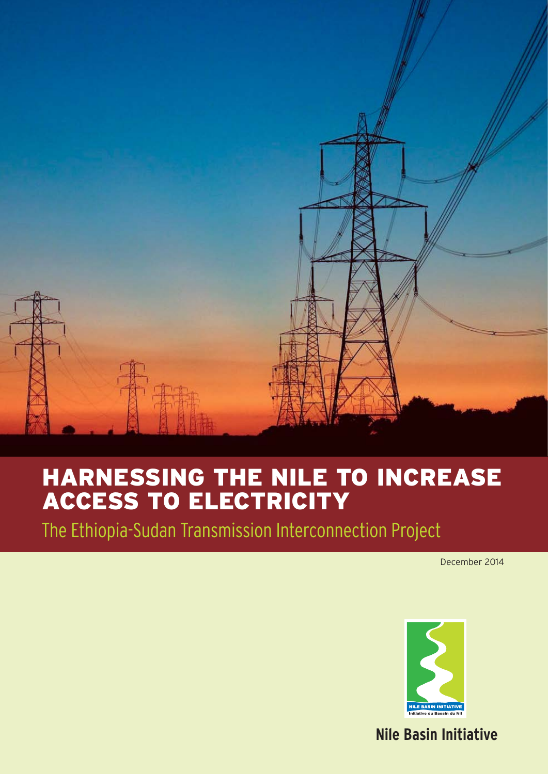

### HARNESSING THE NILE TO INCREASE ACCESS TO ELECTRICITY

The Ethiopia-Sudan Transmission Interconnection Project

December 2014



### **Nile Basin Initiative**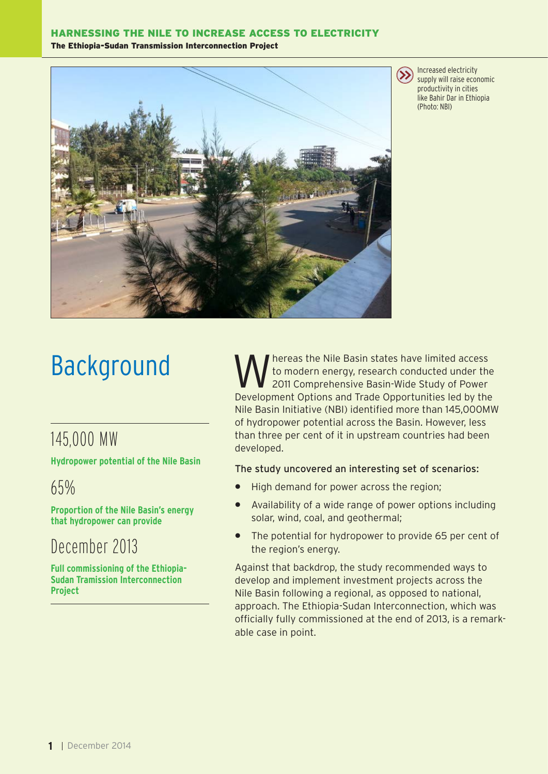#### HARNESSING THE NILE TO INCREASE ACCESS TO ELECTRICITY The Ethiopia-Sudan Transmission Interconnection Project



Increased electricity supply will raise economic productivity in cities like Bahir Dar in Ethiopia (Photo: NBI)

# Background

### 145,000 MW

**Hydropower potential of the Nile Basin**

65%

**Proportion of the Nile Basin's energy that hydropower can provide** 

### December 2013

**Full commissioning of the Ethiopia-Sudan Tramission Interconnection Project**

Whereas the Nile Basin states have limited access<br>
2011 Comprehensive Basin-Wide Study of Power to modern energy, research conducted under the Development Options and Trade Opportunities led by the Nile Basin Initiative (NBI) identified more than 145,000MW of hydropower potential across the Basin. However, less than three per cent of it in upstream countries had been developed.

#### The study uncovered an interesting set of scenarios:

- High demand for power across the region;
- Availability of a wide range of power options including solar, wind, coal, and geothermal;
- The potential for hydropower to provide 65 per cent of the region's energy.

Against that backdrop, the study recommended ways to develop and implement investment projects across the Nile Basin following a regional, as opposed to national, approach. The Ethiopia-Sudan Interconnection, which was officially fully commissioned at the end of 2013, is a remarkable case in point.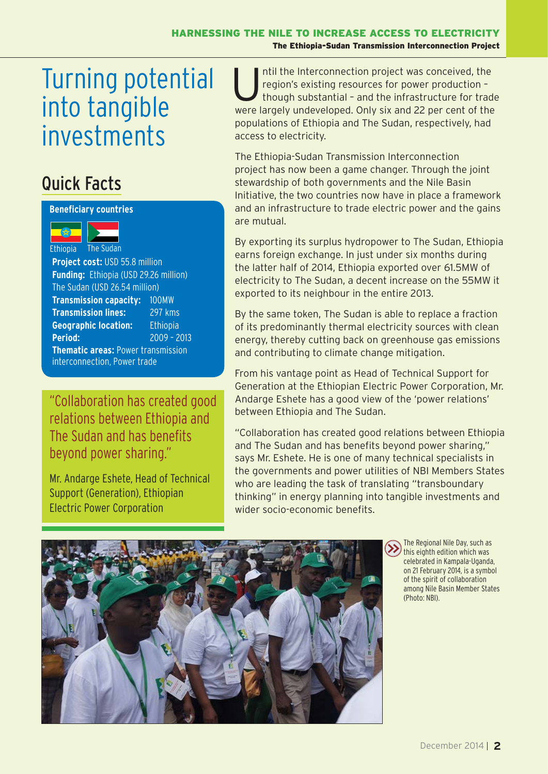#### Turning potential into tangible investments access to election of populations of populations of populations of populations of populations of populations of populations of populations of populations of populations of populations of populations of populati April 38th Nile-TAC Meeting Entebbe Compiled by Tom Waako, Projects Officer, Nile-SEC -Entebbe send your answer to: editor What is the major determinant of population distribution in the Nile Basin?

### **Assume States is a Quick Facts**

#### **Beneficiary countries**



Website http://www.nilebasin.org

**Project cost:** USD 55.8 million **Funding: Ethiopia (USD 29.26 million)** The Sudan (USD 26.54 million) **Transmission capacity:** 100MW **Transmission lines:** 297 kms **Geographic location:** Ethiopia **Period:** 2009 – 2013 **Thematic areas:** Power transmission **Fax +256 414 320 971 320 971 414 320 971 320 971 426 414 320 971 426 971 420 971 420 971 420 971 420 971 420 971 420 971 420 971 420 971 420 971 420 971 420 971 420 971 420 971 420 971 420 971 420 971 420 971 420 971 420** Period: Email nbisec@nilebasin.org

relations between Ethiopia and The Sudan and has benefits beyond power sharing." **Condition has created you between Ethiopia and The Sudan** John Ogwang

Members Tom Waako

Mr. Andarge Eshete, Head of Technical Support (Generation), Ethiopian Electric Power Corporation

Intil the Interconnection project was conceived, the region's existing resources for power production -<br>though substantial - and the infrastructure for trade region's existing resources for power production – were largely undeveloped. Only six and 22 per cent of the populations of Ethiopia and The Sudan, respectively, had access to electricity.

The Ethiopia-Sudan Transmission Interconnection The single most important intra basin intra basin agricultural trade commodity by volume and the single most intra basin and the Nile most intrade commodity by volume and the Nile modity by volume among the Nile modity by stewardship of both governments and the Nile Basin Initiative, the two countries now have in place a framework and an infrastructure to trade electric power and the gains are mutual.  $T_{\rm eff}$  important intra basin agricultural trade commodity by volume among the Nile

> By exporting its surplus hydropower to The Sudan, Ethiopia earns foreign exchange. In just under six months during the sudan Sudan Sudan Sudan Sudan Sudan Sudan Sudan Su the latter half of 2014, Ethiopia exported over 61.5MW of electricity to The Sudan, a decent increase on the 55MW it exported to its neighbour in the entire 2013.

> > By the same token, The Sudan is able to replace a fraction of its predominantly thermal electricity sources with clean energy, thereby cutting back on greenhouse gas emissions and contributing to climate change mitigation.

From his vantage point as Head of Technical Support for Generation at the Ethiopian Electric Power Corporation, Mr. Andarge Eshete has a good view of the 'power relations' between Ethiopia and The Sudan. Editor Jane K. Baitwa From his vantage point as

"Collaboration has created good relations between Ethiopia and The Sudan and has benefits beyond power sharing," says Mr. Eshete. He is one of many technical specialists in the governments and power utilities of NBI Members States who are leading the task of translating "transboundary thinking" in energy planning into tangible investments and wider socio-economic benefits.



The Regional Nile Day, such as  $\left(\sum_{k=1}^{n} \frac{1}{k} \right)$  this eighth edition which was celebrated in Kampala-Uganda, on 21 February 2014, is a symbol of the spirit of collaboration among Nile Basin Member States (Photo: NBI).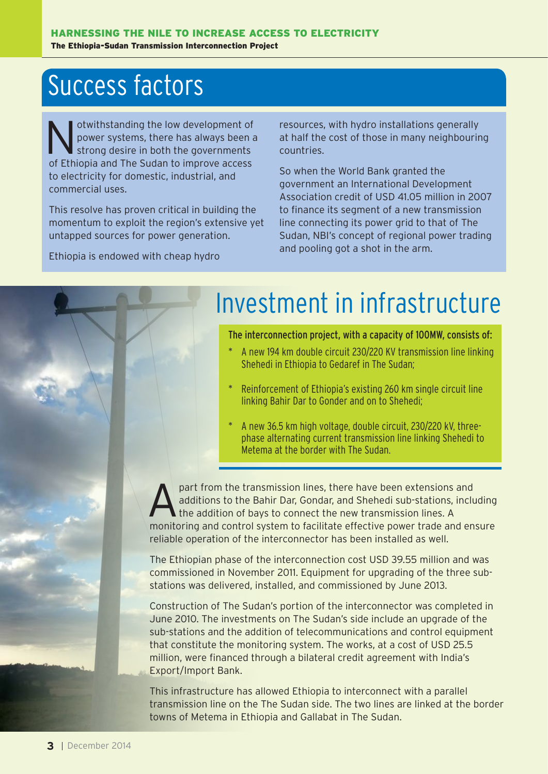## Success factors

Notwithstanding the low development of<br>power systems, there has always been a<br>strong desire in both the governments power systems, there has always been a strong desire in both the governments of Ethiopia and The Sudan to improve access to electricity for domestic, industrial, and commercial uses.

This resolve has proven critical in building the momentum to exploit the region's extensive yet untapped sources for power generation.

Ethiopia is endowed with cheap hydro

resources, with hydro installations generally at half the cost of those in many neighbouring countries.

So when the World Bank granted the government an International Development Association credit of USD 41.05 million in 2007 to finance its segment of a new transmission line connecting its power grid to that of The Sudan, NBI's concept of regional power trading and pooling got a shot in the arm.

## Investment in infrastructure

The interconnection project, with a capacity of 100MW, consists of:

- A new 194 km double circuit 230/220 KV transmission line linking Shehedi in Ethiopia to Gedaref in The Sudan;
- Reinforcement of Ethiopia's existing 260 km single circuit line linking Bahir Dar to Gonder and on to Shehedi;
- A new 36.5 km high voltage, double circuit, 230/220 kV, threephase alternating current transmission line linking Shehedi to Metema at the border with The Sudan.

part from the transmission lines, there have been extensions and<br>additions to the Bahir Dar, Gondar, and Shehedi sub-stations, inclu<br>the addition of bays to connect the new transmission lines. A<br>manifolding and sorting wit additions to the Bahir Dar, Gondar, and Shehedi sub-stations, including the addition of bays to connect the new transmission lines. A monitoring and control system to facilitate effective power trade and ensure reliable operation of the interconnector has been installed as well.

The Ethiopian phase of the interconnection cost USD 39.55 million and was commissioned in November 2011. Equipment for upgrading of the three substations was delivered, installed, and commissioned by June 2013.

Construction of The Sudan's portion of the interconnector was completed in June 2010. The investments on The Sudan's side include an upgrade of the sub-stations and the addition of telecommunications and control equipment that constitute the monitoring system. The works, at a cost of USD 25.5 million, were financed through a bilateral credit agreement with India's Export/Import Bank.

This infrastructure has allowed Ethiopia to interconnect with a parallel transmission line on the The Sudan side. The two lines are linked at the border towns of Metema in Ethiopia and Gallabat in The Sudan.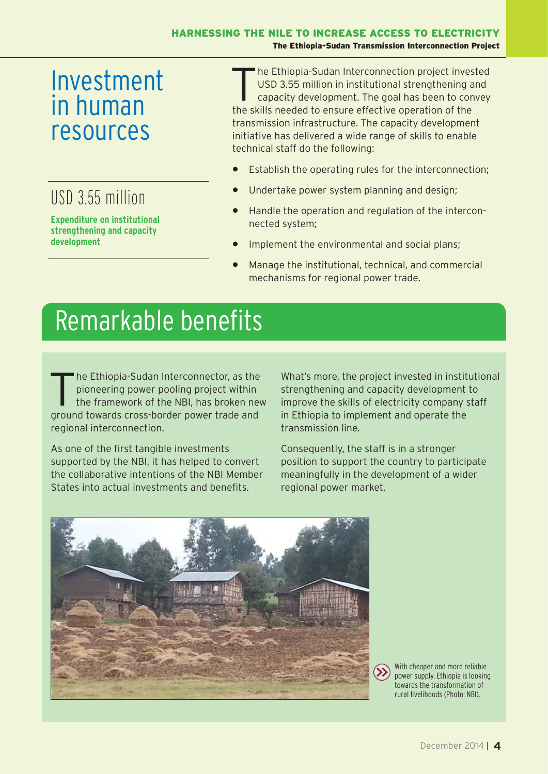## Investment in human resources

### USD 3.55 million

**strengthening and capacity development**

The Ethiopia-Sudan Interconnection project invested<br>
USD 3.55 million in institutional strengthening and<br>
capacity development. The goal has been to convey<br>
the chillenged at the annum offective energies of the USD 3.55 million in institutional strengthening and the skills needed to ensure effective operation of the transmission infrastructure. The capacity development initiative has delivered a wide range of skills to enable technical staff do the following:

- Establish the operating rules for the interconnection;
- Undertake power system planning and design;
- Handle the operation and regulation of the interconnected system;
- Implement the environmental and social plans;
- Manage the institutional, technical, and commercial mechanisms for regional power trade.

## Remarkable benefits

The Ethiopia-Sudan Interconnector, as the pioneering power pooling project within<br>the framework of the NBI, has broken new pioneering power pooling project within ground towards cross-border power trade and regional interconnection.

As one of the first tangible investments supported by the NBI, it has helped to convert the collaborative intentions of the NBI Member States into actual investments and benefits.

What's more, the project invested in institutional strengthening and capacity development to improve the skills of electricity company staff in Ethiopia to implement and operate the transmission line.

Consequently, the staff is in a stronger position to support the country to participate meaningfully in the development of a wider regional power market.





With cheaper and more reliable power supply, Ethiopia is looking towards the transformation of rural livelihoods (Photo: NBI).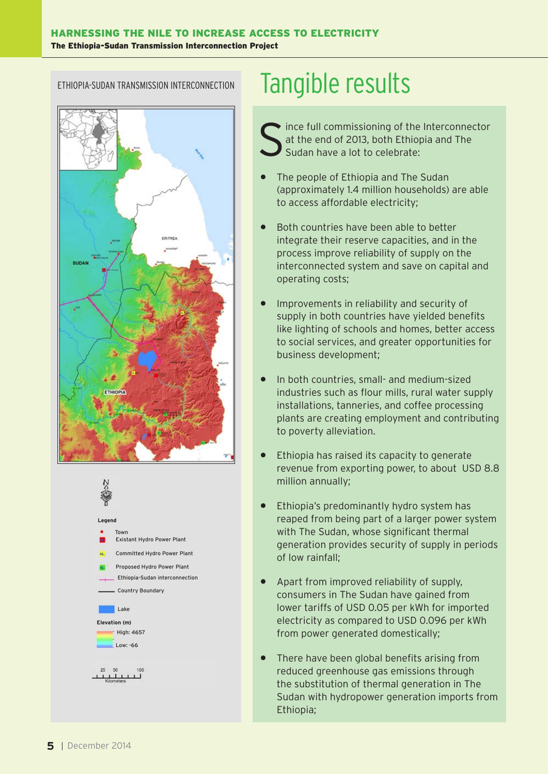#### ETHIOPIA-SUDAN TRANSMISSION INTERCONNECTION





## Tangible results

ince full commissioning of the Interconnector at the end of 2013, both Ethiopia and The Sudan have a lot to celebrate:

- The people of Ethiopia and The Sudan (approximately 1.4 million households) are able to access affordable electricity;
- Both countries have been able to better integrate their reserve capacities, and in the process improve reliability of supply on the interconnected system and save on capital and operating costs;
- Improvements in reliability and security of supply in both countries have yielded benefits like lighting of schools and homes, better access to social services, and greater opportunities for business development;
- In both countries, small- and medium-sized industries such as flour mills, rural water supply installations, tanneries, and coffee processing plants are creating employment and contributing to poverty alleviation.
- Ethiopia has raised its capacity to generate revenue from exporting power, to about USD 8.8 million annually;
- Ethiopia's predominantly hydro system has reaped from being part of a larger power system with The Sudan, whose significant thermal generation provides security of supply in periods of low rainfall;
- Apart from improved reliability of supply, consumers in The Sudan have gained from lower tariffs of USD 0.05 per kWh for imported electricity as compared to USD 0.096 per kWh from power generated domestically;
- There have been global benefits arising from reduced greenhouse gas emissions through the substitution of thermal generation in The Sudan with hydropower generation imports from Ethiopia;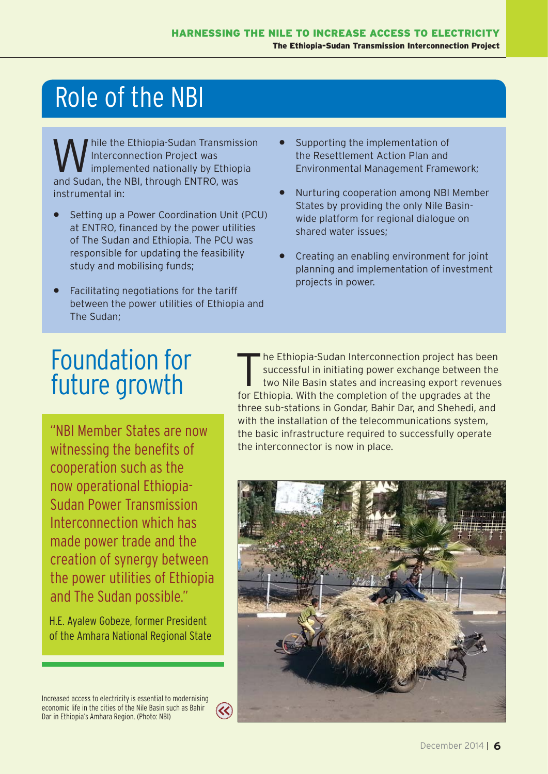# Role of the NBI

hile the Ethiopia-Sudan Transmission Interconnection Project was implemented nationally by Ethiopia and Sudan, the NBI, through ENTRO, was instrumental in:

- Setting up a Power Coordination Unit (PCU) at ENTRO, financed by the power utilities of The Sudan and Ethiopia. The PCU was responsible for updating the feasibility study and mobilising funds;
- Facilitating negotiations for the tariff between the power utilities of Ethiopia and The Sudan;
- Supporting the implementation of the Resettlement Action Plan and Environmental Management Framework;
- Nurturing cooperation among NBI Member States by providing the only Nile Basinwide platform for regional dialogue on shared water issues;
- Creating an enabling environment for joint planning and implementation of investment projects in power.

## Foundation for future growth

witnessing the benefits of cooperation such as the now operational Ethiopia-Sudan Power Transmission Interconnection which has made power trade and the creation of synergy between the power utilities of Ethiopia and The Sudan possible."

H.E. Ayalew Gobeze, former President of the Amhara National Regional State The Ethiopia-Sudan Interconnection project has been<br>successful in initiating power exchange between the<br>two Nile Basin states and increasing export revenues successful in initiating power exchange between the two Nile Basin states and increasing export revenues for Ethiopia. With the completion of the upgrades at the three sub-stations in Gondar, Bahir Dar, and Shehedi, and with the installation of the telecommunications system, the basic infrastructure required to successfully operate the interconnector is now in place.



Increased access to electricity is essential to modernising economic life in the cities of the Nile Basin such as Bahir Dar in Ethiopia's Amhara Region. (Photo: NBI)